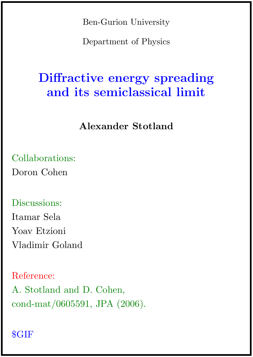Ben-Gurion University

Department of Physics

# Diffractive energy spreading and its semiclassical limit

## Alexander Stotland

Collaborations: Doron Cohen

### Discussions:

Itamar Sela Yoav Etzioni Vladimir Goland

### Reference:

A. Stotland and D. Cohen, cond-mat/0605591, JPA (2006).

## \$GIF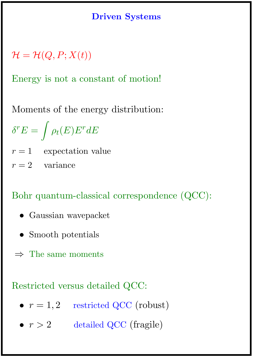### Driven Systems

 $\mathcal{H} = \mathcal{H}(Q, P; X(t))$ 

Energy is not a constant of motion!

Moments of the energy distribution:

$$
\delta^r E = \int \rho_t(E) E^r dE
$$

 $r = 1$  expectation value

 $r = 2$  variance

Bohr quantum-classical correspondence (QCC):

- Gaussian wavepacket
- Smooth potentials
- $\Rightarrow$  The same moments

Restricted versus detailed QCC:

- $r = 1, 2$  restricted QCC (robust)
- $r > 2$  detailed QCC (fragile)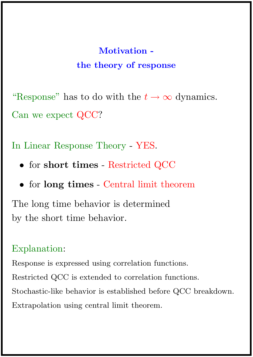# Motivation the theory of response

"Response" has to do with the  $t \to \infty$  dynamics. Can we expect QCC?

In Linear Response Theory - YES.

- for short times Restricted QCC
- for long times Central limit theorem

The long time behavior is determined by the short time behavior.

### Explanation:

Response is expressed using correlation functions. Restricted QCC is extended to correlation functions. Stochastic-like behavior is established before QCC breakdown. Extrapolation using central limit theorem.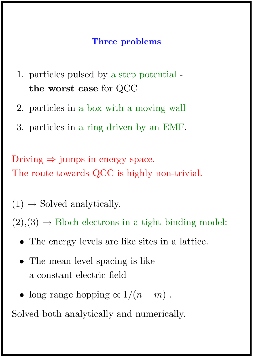### Three problems

- 1. particles pulsed by a step potential the worst case for QCC
- 2. particles in a box with a moving wall
- 3. particles in a ring driven by an EMF.

Driving  $\Rightarrow$  jumps in energy space. The route towards QCC is highly non-trivial.

 $(1) \rightarrow$  Solved analytically.

 $(2),(3) \rightarrow$  Bloch electrons in a tight binding model:

- The energy levels are like sites in a lattice.
- The mean level spacing is like a constant electric field
- long range hopping  $\propto 1/(n-m)$ .

Solved both analytically and numerically.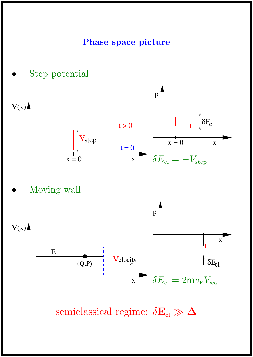### Phase space picture



Moving wall



semiclassical regime:  $\delta E_{\text{cl}} \gg \Delta$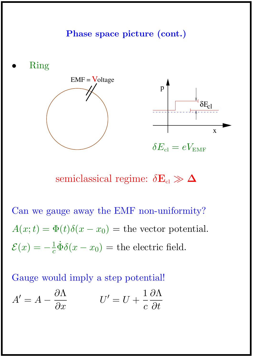### Phase space picture (cont.)



semiclassical regime:  $\delta E_{\rm cl} \gg \Delta$ 

Can we gauge away the EMF non-uniformity?  $A(x;t) = \Phi(t)\delta(x-x_0) =$  the vector potential.  $\mathcal{E}(x) = -\frac{1}{c}$  $\frac{1}{c}\dot{\Phi}\delta(x-x_0) =$  the electric field.

Gauge would imply a step potential!

$$
A' = A - \frac{\partial \Lambda}{\partial x} \qquad \qquad U' = U + \frac{1}{c} \frac{\partial \Lambda}{\partial t}
$$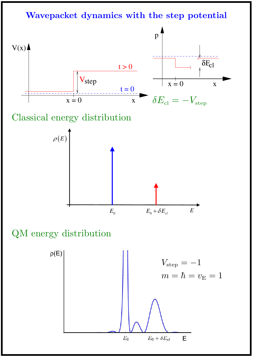Wavepacket dynamics with the step potential



Classical energy distribution



QM energy distribution

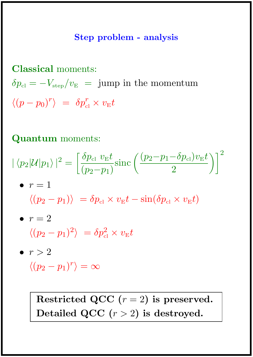### Step problem - analysis

Classical moments:

 $\delta p_{\rm cl} = -V_{\rm step}/v_{\rm E}$  = jump in the momentum  $\langle (p - p_0)^r \rangle = \delta p_{\scriptscriptstyle \rm cl}^r \times v_{\scriptscriptstyle \rm E} t$ 

Quantum moments:

$$
|\langle p_2|\mathcal{U}|p_1\rangle|^2 = \left[\frac{\delta p_{\text{cl}} v_{\text{E}} t}{(p_2 - p_1)} \text{sinc}\left(\frac{(p_2 - p_1 - \delta p_{\text{cl}}) v_{\text{E}} t}{2}\right)\right]^2
$$
  
\n•  $r = 1$   
\n
$$
\langle (p_2 - p_1) \rangle = \delta p_{\text{cl}} \times v_{\text{E}} t - \sin(\delta p_{\text{cl}} \times v_{\text{E}} t)
$$
  
\n•  $r = 2$   
\n
$$
\langle (p_2 - p_1)^2 \rangle = \delta p_{\text{cl}}^2 \times v_{\text{E}} t
$$
  
\n•  $r > 2$ 

$$
\langle (p_2 - p_1)^r \rangle = \infty
$$

Restricted QCC  $(r = 2)$  is preserved. Detailed QCC  $(r > 2)$  is destroyed.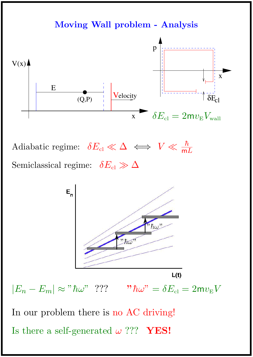# Moving Wall problem - Analysis p



Adiabatic regime:  $\delta E_{\text{cl}} \ll \Delta \iff V \ll \frac{\hbar}{\text{mL}}$ Semiclassical regime:  $\delta E_{\rm cl} \gg \Delta$ 



In our problem there is no AC driving! Is there a self-generated  $\omega$  ??? **YES!**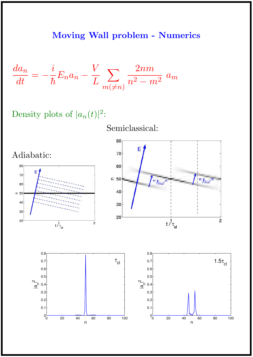### Moving Wall problem - Numerics

$$
\frac{da_n}{dt} = -\frac{i}{\hbar}E_n a_n - \frac{V}{L} \sum_{m(\neq n)} \frac{2nm}{n^2 - m^2} a_m
$$

## Density plots of  $|a_n(t)|^2$ :

Semiclassical:



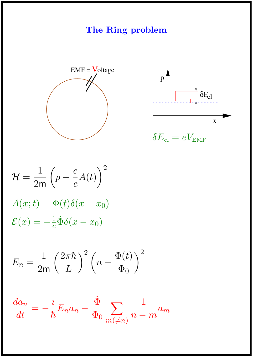# The Ring problem





 $\delta E_{\rm cl}=eV_{\rm EMF}$ 

$$
\mathcal{H} = \frac{1}{2m} \left( p - \frac{e}{c} A(t) \right)^2
$$

$$
A(x; t) = \Phi(t) \delta(x - x_0)
$$

$$
\mathcal{E}(x) = -\frac{1}{c} \dot{\Phi} \delta(x - x_0)
$$

$$
E_n = \frac{1}{2m} \left(\frac{2\pi\hbar}{L}\right)^2 \left(n - \frac{\Phi(t)}{\Phi_0}\right)^2
$$

$$
\frac{da_n}{dt} = -\frac{i}{\hbar} E_n a_n - \frac{\dot{\Phi}}{\Phi_0} \sum_{m(\neq n)} \frac{1}{n-m} a_m
$$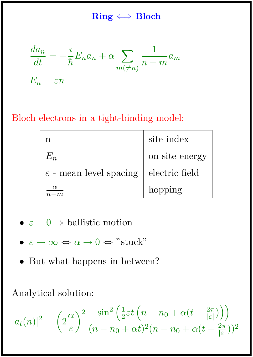### $Ring \Longleftrightarrow Bloch$

$$
\frac{da_n}{dt} = -\frac{i}{\hbar} E_n a_n + \alpha \sum_{m(\neq n)} \frac{1}{n-m} a_m
$$

$$
E_n = \varepsilon n
$$

## Bloch electrons in a tight-binding model:

| n                                  | site index     |
|------------------------------------|----------------|
| $E_n \$                            | on site energy |
| $\varepsilon$ - mean level spacing | electric field |
| $\alpha$                           | hopping        |

- $\varepsilon = 0 \Rightarrow$  ballistic motion
- $\varepsilon \to \infty \Leftrightarrow \alpha \to 0 \Leftrightarrow$  "stuck"
- But what happens in between?

Analytical solution:

$$
|a_t(n)|^2 = \left(2\frac{\alpha}{\varepsilon}\right)^2 \frac{\sin^2\left(\frac{1}{2}\varepsilon t\left(n - n_0 + \alpha(t - \frac{2\pi}{|\varepsilon|})\right)\right)}{(n - n_0 + \alpha t)^2 (n - n_0 + \alpha(t - \frac{2\pi}{|\varepsilon|}))^2}
$$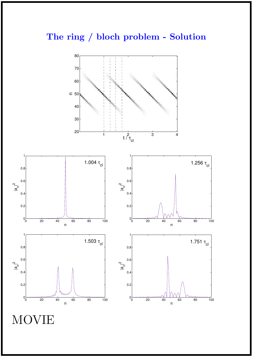## The ring / bloch problem - Solution



MOVIE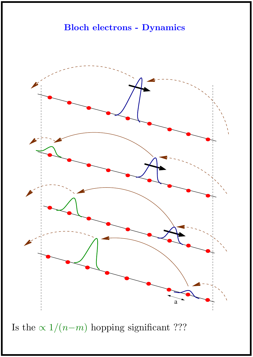



Is the  $\propto 1/(n-m)$  hopping significant ???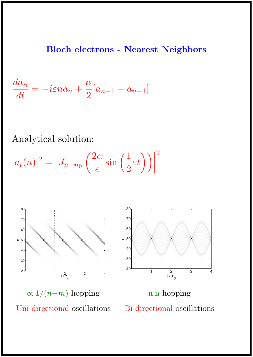#### Bloch electrons - Nearest Neighbors

$$
\frac{da_n}{dt} = -i\varepsilon n a_n + \frac{\alpha}{2}[a_{n+1} - a_{n-1}]
$$

Analytical solution:

 $|a_t(n)|^2 =$  $\overline{\phantom{a}}$  $\overline{\phantom{a}}$  $\overline{\phantom{a}}$  $\vert$  $J_{n-n_0}$  $\sqrt{2\alpha}$ ε  $\sin\left(\frac{1}{2}\right)$ 2  $\varepsilon t$ )  $\mathsf{l}$  $\overline{\phantom{a}}$ 2





 $\propto 1/(n-m)$  hopping Uni-directional oscillations

n.n hopping Bi-directional oscillations